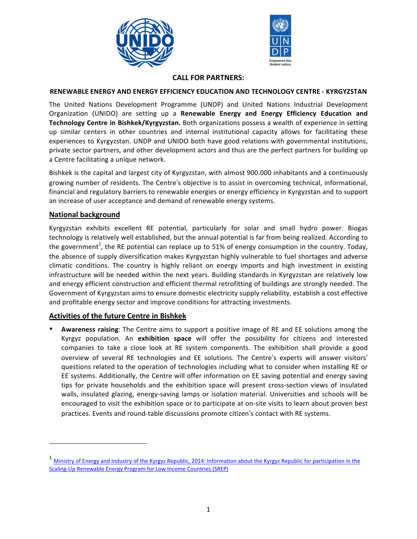



## **CALL FOR PARTNERS:**

### **RENEWABLE ENERGY AND ENERGY EFFICIENCY EDUCATION AND TECHNOLOGY CENTRE - KYRGYZSTAN**

The United Nations Development Programme (UNDP) and United Nations Industrial Development Organization (UNIDO) are setting up a **Renewable Energy and Energy Efficiency Education and Technology Centre in Bishkek/Kyrgyzstan.** Both organizations possess a wealth of experience in setting up similar centers in other countries and internal institutional capacity allows for facilitating these experiences to Kyrgyzstan. UNDP and UNIDO both have good relations with governmental institutions, private sector partners, and other development actors and thus are the perfect partners for building up a Centre facilitating a unique network.

Bishkek is the capital and largest city of Kyrgyzstan, with almost 900.000 inhabitants and a continuously growing number of residents. The Centre's objective is to assist in overcoming technical, informational, financial and regulatory barriers to renewable energies or energy efficiency in Kyrgyzstan and to support an increase of user acceptance and demand of renewable energy systems.

## **National background**

Kyrgyzstan exhibits excellent RE potential, particularly for solar and small hydro power. Biogas technology is relatively well established, but the annual potential is far from being realized. According to the government<sup>1</sup>, the RE potential can replace up to 51% of energy consumption in the country. Today, the absence of supply diversification makes Kyrgyzstan highly vulnerable to fuel shortages and adverse climatic conditions. The country is highly reliant on energy imports and high investment in existing infrastructure will be needed within the next years. Building standards in Kyrgyzstan are relatively low and energy efficient construction and efficient thermal retrofitting of buildings are strongly needed. The Government of Kyrgyzstan aims to ensure domestic electricity supply reliability, establish a cost effective and profitable energy sector and improve conditions for attracting investments.

### **Activities of the future Centre in Bishkek**

<u> 1989 - Johann Stein, fransk politik (d. 1989)</u>

• **Awareness raising**: The Centre aims to support a positive image of RE and EE solutions among the Kyrgyz population. An **exhibition space** will offer the possibility for citizens and interested companies to take a close look at RE system components. The exhibition shall provide a good overview of several RE technologies and EE solutions. The Centre's experts will answer visitors' questions related to the operation of technologies including what to consider when installing RE or EE systems. Additionally, the Centre will offer information on EE saving potential and energy saving tips for private households and the exhibition space will present cross-section views of insulated walls, insulated glazing, energy-saving lamps or isolation material. Universities and schools will be encouraged to visit the exhibition space or to participate at on-site visits to learn about proven best practices. Events and round-table discussions promote citizen's contact with RE systems.

<sup>&</sup>lt;sup>1</sup> Ministry of Energy and Industry of the Kyrgyz Republic, 2014: Information about the Kyrgyz Republic for participation in the Scaling-Up Renewable Energy Program for Low Income Countries (SREP)